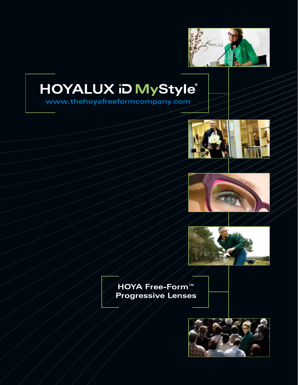

# HOYALUX iD MyStyle®

**www.thehoyafreeformcompany.com**







**HOYA Free-Form™ Progressive Lenses**

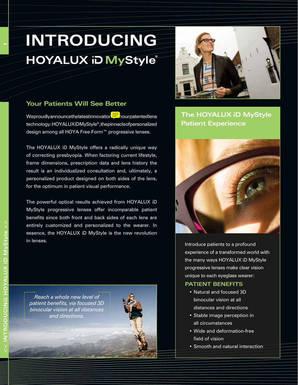# **Introducing HOYALUX iD MyStyle**®

### **Your Patients Will See Better**

We proudly announce the latest innovation  $\frac{1}{2}$  nour patented lens technology: HOYALUXiDMyStyle<sup>®</sup>, the pinnacle of personalized design among all HOYA Free-Form™ progressive lenses.

The HOYALUX iD MyStyle offers a radically unique way of correcting presbyopia. When factoring current lifestyle, frame dimensions, prescription data and lens history the result is an individualized consultation and, ultimately, a personalized product designed on both sides of the lens, for the optimum in patient visual performance.

The powerful optical results achieved from HOYALUX iD MyStyle progressive lenses offer incomparable patient benefits since both front and back sides of each lens are entirely customized and personalized to the wearer. In essence, the HOYALUX iD MyStyle is the new revolution in lenses.







**The HOYALUX iD MyStyle Patient Experience**



Introduce patients to a profound experience of a transformed world with the many ways HOYALUX iD MyStyle progressive lenses make clear vision unique to each eyeglass wearer:

#### **Patient Benefits**

- • Natural and focused 3D binocular vision at all distances and directions
- Stable image perception in all circumstances
- • Wide and deformation-free field of vision
- Smooth and natural interaction

**1**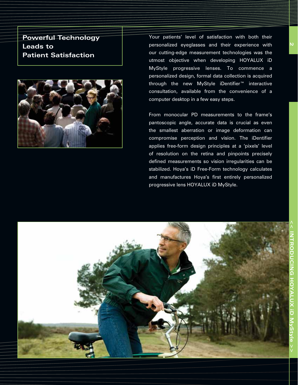**Powerful Technology Leads to Patient Satisfaction**



Your patients' level of satisfaction with both their personalized eyeglasses and their experience with our cutting-edge measurement technologies was the utmost objective when developing HOYALUX iD MyStyle progressive lenses. To commence a personalized design, formal data collection is acquired through the new MyStyle iDentifier<sup>™</sup> interactive consultation, available from the convenience of a computer desktop in a few easy steps.

From monocular PD measurements to the frame's pantoscopic angle, accurate data is crucial as even the smallest aberration or image deformation can compromise perception and vision. The iDentifier applies free-form design principles at a 'pixels' level of resolution on the retina and pinpoints precisely defined measurements so vision irregularities can be stabilized. Hoya's iD Free-Form technology calculates and manufactures Hoya's first entirely personalized progressive lens HOYALUX iD MyStyle.

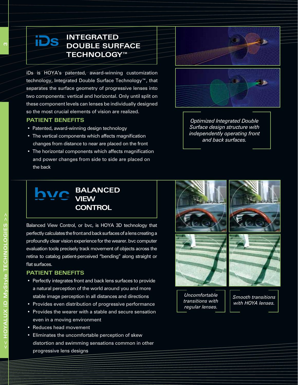## **INTEGRATED S** INTEGRATED<br>DOUBLE SURFACE **Technology™**

iDs is HOYA's patented, award-winning customization technology, Integrated Double Surface Technology™, that separates the surface geometry of progressive lenses into two components: vertical and horizontal. Only until split on these component levels can lenses be individually designed so the most crucial elements of vision are realized.

#### **Patient Benefits**

- Patented, award-winning design technology
- The vertical components which affects magnification changes from distance to near are placed on the front
- The horizontal components which affects magnification and power changes from side to side are placed on the back



*Optimized Integrated Double Surface design structure with independently operating front and back surfaces.*

## **BALANCED VIEW CONTROL**

Balanced View Control, or bvc, is HOYA 3D technology that perfectly calculates the front and back surfaces of a lens creating a profoundly clear vision experience for the wearer. bvc computer evaluation tools precisely track movement of objects across the retina to catalog patient-perceived "bending" along straight or flat surfaces.

#### **Patient Benefits**

- Perfectly integrates front and back lens surfaces to provide a natural perception of the world around you and more stable image perception in all distances and directions
- Provides even distribution of progressive performance
- Provides the wearer with a stable and secure sensation even in a moving environment
- Reduces head movement
- Eliminates the uncomfortable perception of skew distortion and swimming sensations common in other progressive lens designs



<u>ო</u>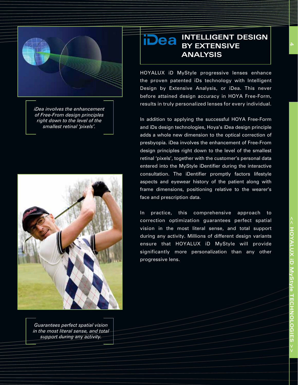

*iDea involves the enhancement of Free-From design principles right down to the level of the smallest retinal 'pixels'.*



*Guarantees perfect spatial vision in the most literal sense, and total support during any activity.*

## **ea** INTELLIGENT DESIG **BY EXTENSIVE ANALYSIS**

HOYALUX iD MyStyle progressive lenses enhance the proven patented iDs technology with Intelligent Design by Extensive Analysis, or iDea. This never before attained design accuracy in HOYA Free-Form, results in truly personalized lenses for every individual.

In addition to applying the successful HOYA Free-Form and iDs design technologies, Hoya's iDea design principle adds a whole new dimension to the optical correction of presbyopia. iDea involves the enhancement of Free-From design principles right down to the level of the smallest retinal 'pixels', together with the customer's personal data entered into the MyStyle iDentifier during the interactive consultation. The iDentifier promptly factors lifestyle aspects and eyewear history of the patient along with frame dimensions, positioning relative to the wearer's face and prescription data.

In practice, this comprehensive approach to correction optimization guarantees perfect spatial vision in the most literal sense, and total support during any activity. Millions of different design variants ensure that HOYALUX iD MyStyle will provide significantly more personalization than any other progressive lens.

**4**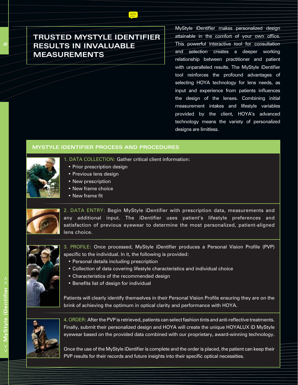## **Trusted MyStyle iDentifier results in invaluable measurements**

MyStyle iDentifier makes personalized design attainable in the comfort of your own office. This powerful interactive tool for consultation and selection creates a deeper working relationship between practitioner and patient with unparalleled results. The MyStyle iDentifier tool reinforces the profound advantages of selecting HOYA technology for lens needs, as input and experience from patients influences the design of the lenses. Combining initial measurement intakes and lifestyle variables provided by the client, HOYA's advanced technology means the variety of personalized designs are limitless.

#### **MYSTYLE IDENTIFIER PROCESS AND PROCEDURES**

- 1. DATA COLLECTION: Gather critical client information:
	- Prior prescription design
	- • Previous lens design
	- New prescription
	- New frame choice
	- • New frame fit



2. DATA ENTRY: Begin MyStyle iDentifier with prescription data, measurements and any additional input. The iDentifier uses patient's lifestyle preferences and satisfaction of previous eyewear to determine the most personalized, patient-aligned lens choice.



- 3. PROFILE: Once processed, MyStyle iDentifier produces a Personal Vision Profile (PVP) specific to the individual. In it, the following is provided:
	- Personal details including prescription
	- Collection of data covering lifestyle characteristics and individual choice
	- Characteristics of the recommended design
	- Benefits list of design for individual

Patients will clearly identify themselves in their Personal Vision Profile ensuring they are on the brink of achieving the optimum in optical clarity and performance with HOYA.



4. ORDER: After the PVP is retrieved, patients can select fashion tints and anti-reflective treatments. Finally, submit their personalized design and HOYA will create the unique HOYALUX iD MyStyle eyewear based on the provided data combined with our proprietary, award-winning technology.

Once the use of the MyStyle iDentifier is complete and the order is placed, the patient can keep their PVP results for their records and future insights into their specific optical necessities.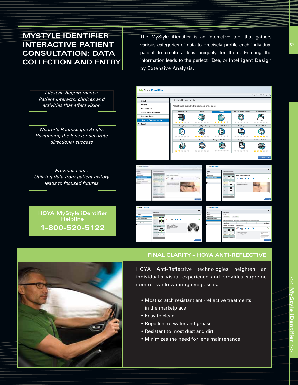## **MYSTYLE IDENTIFIER INTERACTIVE PATIENT CONSULTATION: DATA COLLECTION AND ENTRY**

The MyStyle iDentifier is an interactive tool that gathers various categories of data to precisely profile each individual patient to create a lens uniquely for them. Entering the information leads to the perfect iDea, or Intelligent Design by Extensive Analysis.

*Lifestyle Requirements: Patient interests, choices and activities that affect vision*

*Wearer's Pantoscopic Angle: Positioning the lens for accurate directional success*

*Previous Lens: Utilizing data from patient history leads to focused futures*

**HOYA MyStyle iDentifier Helpline 1-800-520-5122**





**Final Clarity – HOYA Anti-Reflective**

HOYA Anti-Reflective technologies heighten an individual's visual experience and provides supreme comfort while wearing eyeglasses.

- Most scratch resistant anti-reflective treatments in the marketplace
- Easy to clean
- Repellent of water and grease
- • Resistant to most dust and dirt
- Minimizes the need for lens maintenance